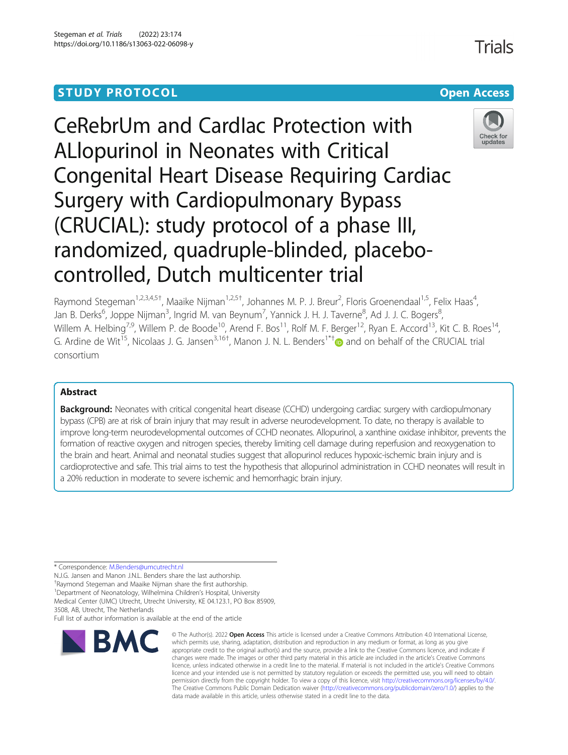# **STUDY PROTOCOL CONSUMING THE RESERVE ACCESS**

# CeRebrUm and CardIac Protection with ALlopurinol in Neonates with Critical Congenital Heart Disease Requiring Cardiac Surgery with Cardiopulmonary Bypass (CRUCIAL): study protocol of a phase III,

randomized, quadruple-blinded, placebo-

controlled, Dutch multicenter trial



updates

Raymond Stegeman<sup>1,2,3,4,5†</sup>, Maaike Nijman<sup>1,2,5†</sup>, Johannes M. P. J. Breur<sup>2</sup>, Floris Groenendaal<sup>1,5</sup>, Felix Haas<sup>4</sup> , Jan B. Derks<sup>6</sup>, Joppe Nijman<sup>3</sup>, Ingrid M. van Beynum<sup>7</sup>, Yannick J. H. J. Taverne<sup>8</sup>, Ad J. J. C. Bogers<sup>8</sup> , Willem A. Helbing<sup>7,9</sup>, Willem P. de Boode<sup>10</sup>, Arend F. Bos<sup>11</sup>, Rolf M. F. Berger<sup>12</sup>, Ryan E. Accord<sup>13</sup>, Kit C. B. Roes<sup>14</sup>, G. Ardine de Wit<sup>15</sup>, Nicolaas J. G. Jansen<sup>3,16[†](http://orcid.org/0000-0001-5491-9168)</sup>, Manon J. N. L. Benders<sup>1\*†</sup> and on behalf of the CRUCIAL trial consortium

# Abstract

**Background:** Neonates with critical congenital heart disease (CCHD) undergoing cardiac surgery with cardiopulmonary bypass (CPB) are at risk of brain injury that may result in adverse neurodevelopment. To date, no therapy is available to improve long-term neurodevelopmental outcomes of CCHD neonates. Allopurinol, a xanthine oxidase inhibitor, prevents the formation of reactive oxygen and nitrogen species, thereby limiting cell damage during reperfusion and reoxygenation to the brain and heart. Animal and neonatal studies suggest that allopurinol reduces hypoxic-ischemic brain injury and is cardioprotective and safe. This trial aims to test the hypothesis that allopurinol administration in CCHD neonates will result in a 20% reduction in moderate to severe ischemic and hemorrhagic brain injury.

\* Correspondence: [M.Benders@umcutrecht.nl](mailto:M.Benders@umcutrecht.nl)

N.J.G. Jansen and Manon J.N.L. Benders share the last authorship.

† Raymond Stegeman and Maaike Nijman share the first authorship.

<sup>1</sup>Department of Neonatology, Wilhelmina Children's Hospital, University Medical Center (UMC) Utrecht, Utrecht University, KE 04.123.1, PO Box 85909,

3508, AB, Utrecht, The Netherlands

Full list of author information is available at the end of the article



<sup>©</sup> The Author(s). 2022 Open Access This article is licensed under a Creative Commons Attribution 4.0 International License, which permits use, sharing, adaptation, distribution and reproduction in any medium or format, as long as you give appropriate credit to the original author(s) and the source, provide a link to the Creative Commons licence, and indicate if changes were made. The images or other third party material in this article are included in the article's Creative Commons licence, unless indicated otherwise in a credit line to the material. If material is not included in the article's Creative Commons licence and your intended use is not permitted by statutory regulation or exceeds the permitted use, you will need to obtain permission directly from the copyright holder. To view a copy of this licence, visit [http://creativecommons.org/licenses/by/4.0/.](http://creativecommons.org/licenses/by/4.0/) The Creative Commons Public Domain Dedication waiver [\(http://creativecommons.org/publicdomain/zero/1.0/](http://creativecommons.org/publicdomain/zero/1.0/)) applies to the data made available in this article, unless otherwise stated in a credit line to the data.

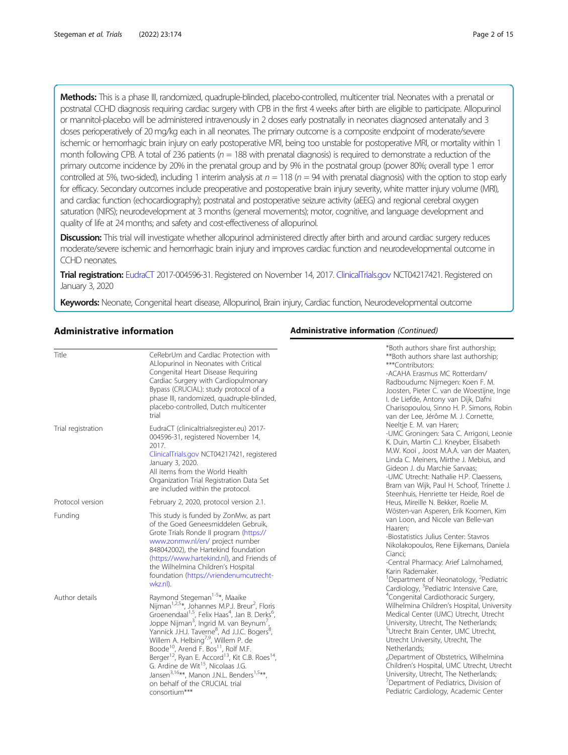Methods: This is a phase III, randomized, quadruple-blinded, placebo-controlled, multicenter trial. Neonates with a prenatal or postnatal CCHD diagnosis requiring cardiac surgery with CPB in the first 4 weeks after birth are eligible to participate. Allopurinol or mannitol-placebo will be administered intravenously in 2 doses early postnatally in neonates diagnosed antenatally and 3 doses perioperatively of 20 mg/kg each in all neonates. The primary outcome is a composite endpoint of moderate/severe ischemic or hemorrhagic brain injury on early postoperative MRI, being too unstable for postoperative MRI, or mortality within 1 month following CPB. A total of 236 patients ( $n = 188$  with prenatal diagnosis) is required to demonstrate a reduction of the primary outcome incidence by 20% in the prenatal group and by 9% in the postnatal group (power 80%; overall type 1 error controlled at 5%, two-sided), including 1 interim analysis at  $n = 118$  ( $n = 94$  with prenatal diagnosis) with the option to stop early for efficacy. Secondary outcomes include preoperative and postoperative brain injury severity, white matter injury volume (MRI), and cardiac function (echocardiography); postnatal and postoperative seizure activity (aEEG) and regional cerebral oxygen saturation (NIRS); neurodevelopment at 3 months (general movements); motor, cognitive, and language development and quality of life at 24 months; and safety and cost-effectiveness of allopurinol.

Discussion: This trial will investigate whether allopurinol administered directly after birth and around cardiac surgery reduces moderate/severe ischemic and hemorrhagic brain injury and improves cardiac function and neurodevelopmental outcome in CCHD neonates.

Trial registration: [EudraCT](http://clinicaltrialsregister.eu) 2017-004596-31. Registered on November 14, 2017. [ClinicalTrials.gov](http://clinicaltrials.gov) NCT04217421. Registered on January 3, 2020

Keywords: Neonate, Congenital heart disease, Allopurinol, Brain injury, Cardiac function, Neurodevelopmental outcome

# Administrative information

| Title              | CeRebrUm and Cardlac Protection with<br>ALlopurinol in Neonates with Critical<br>Congenital Heart Disease Requiring<br>Cardiac Surgery with Cardiopulmonary<br>Bypass (CRUCIAL): study protocol of a<br>phase III, randomized, quadruple-blinded,<br>placebo-controlled, Dutch multicenter<br>trial                                                                                                                                                                                                                                                                                                                                                                                                                                        | *Both authors share first authorship;<br>**Both authors share last authorship;<br>***Contributors:<br>-ACAHA Erasmus MC Rotterdam/<br>Radboudumc Nijmegen: Koen F. M.<br>Joosten, Pieter C. van de Woestijne, Inge<br>I. de Liefde, Antony van Dijk, Dafni<br>Charisopoulou, Sinno H. P. Simons, Robir<br>van der Lee, Jérôme M. J. Cornette,                                                                                                                                                                        |
|--------------------|--------------------------------------------------------------------------------------------------------------------------------------------------------------------------------------------------------------------------------------------------------------------------------------------------------------------------------------------------------------------------------------------------------------------------------------------------------------------------------------------------------------------------------------------------------------------------------------------------------------------------------------------------------------------------------------------------------------------------------------------|----------------------------------------------------------------------------------------------------------------------------------------------------------------------------------------------------------------------------------------------------------------------------------------------------------------------------------------------------------------------------------------------------------------------------------------------------------------------------------------------------------------------|
| Trial registration | EudraCT (clinicaltrialsregister.eu) 2017-<br>004596-31, registered November 14,<br>2017.<br>ClinicalTrials.gov NCT04217421, registered<br>January 3, 2020.<br>All items from the World Health<br>Organization Trial Registration Data Set<br>are included within the protocol.                                                                                                                                                                                                                                                                                                                                                                                                                                                             | Neeltje E. M. van Haren;<br>-UMC Groningen: Sara C. Arrigoni, Leonie<br>K. Duin, Martin C.J. Kneyber, Elisabeth<br>M.W. Kooi, Joost M.A.A. van der Maaten,<br>Linda C. Meiners, Mirthe J. Mebius, and<br>Gideon J. du Marchie Sarvaas;<br>-UMC Utrecht: Nathalie H.P. Claessens,<br>Bram van Wijk, Paul H. Schoof, Trinette J.<br>Steenhuis, Henriette ter Heide, Roel de                                                                                                                                            |
| Protocol version   | February 2, 2020, protocol version 2.1.                                                                                                                                                                                                                                                                                                                                                                                                                                                                                                                                                                                                                                                                                                    | Heus, Mireille N. Bekker, Roelie M.                                                                                                                                                                                                                                                                                                                                                                                                                                                                                  |
| Funding            | This study is funded by ZonMw, as part<br>of the Goed Geneesmiddelen Gebruik,<br>Grote Trials Ronde II program (https://<br>www.zonmw.nl/en/ project number<br>848042002), the Hartekind foundation<br>(https://www.hartekind.nl), and Friends of<br>the Wilhelmina Children's Hospital<br>foundation (https://vriendenumcutrecht-<br>wkz.nl).                                                                                                                                                                                                                                                                                                                                                                                             | Wösten-van Asperen, Erik Koomen, Kim<br>van Loon, and Nicole van Belle-van<br>Haaren:<br>-Biostatistics Julius Center: Stavros<br>Nikolakopoulos, Rene Eijkemans, Daniela<br>Cianci;<br>-Central Pharmacy: Arief Lalmohamed,<br>Karin Rademaker.<br><sup>1</sup> Department of Neonatology, <sup>2</sup> Pediatric<br>Cardiology, <sup>3</sup> Pediatric Intensive Care,                                                                                                                                             |
| Author details     | Raymond Stegeman <sup>1-5*</sup> , Maaike<br>Nijman <sup>1,2,5</sup> *, Johannes M.P.J. Breur <sup>2</sup> , Floris<br>Groenendaal <sup>1,5</sup> , Felix Haas <sup>4</sup> , Jan B. Derks <sup>6</sup> ,<br>Joppe Nijman <sup>3</sup> , Ingrid M. van Beynum <sup>7</sup> ,<br>Yannick J.H.J. Taverne <sup>8</sup> , Ad J.J.C. Bogers <sup>8</sup> ,<br>Willem A. Helbing <sup>7,9</sup> , Willem P. de<br>Boode <sup>10</sup> , Arend F. Bos <sup>11</sup> , Rolf M.F.<br>Berger <sup>12</sup> , Ryan E. Accord <sup>13</sup> , Kit C.B. Roes <sup>14</sup> ,<br>G. Ardine de Wit <sup>15</sup> , Nicolaas J.G.<br>Jansen <sup>3,16**</sup> , Manon J.N.L. Benders <sup>1,5**</sup> ,<br>on behalf of the CRUCIAL trial<br>consortium*** | <sup>4</sup> Congenital Cardiothoracic Surgery,<br>Wilhelmina Children's Hospital, University<br>Medical Center (UMC) Utrecht, Utrecht<br>University, Utrecht, The Netherlands;<br><sup>5</sup> Utrecht Brain Center, UMC Utrecht,<br>Utrecht University, Utrecht, The<br>Netherlands;<br>6Department of Obstetrics, Wilhelmina<br>Children's Hospital, UMC Utrecht, Utrecht<br>University, Utrecht, The Netherlands;<br><sup>'</sup> Department of Pediatrics, Division of<br>Pediatric Cardiology, Academic Center |

# Administrative information (Continued)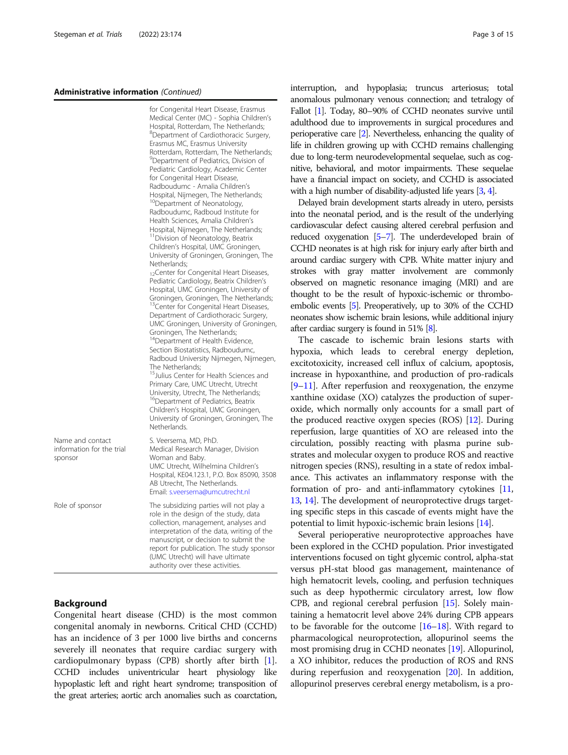#### Administrative information (Continued)

| Name and contact<br>information for the trial | for Congenital Heart Disease, Erasmus<br>Medical Center (MC) - Sophia Children's<br>Hospital, Rotterdam, The Netherlands;<br><sup>8</sup> Department of Cardiothoracic Surgery,<br>Erasmus MC, Erasmus University<br>Rotterdam, Rotterdam, The Netherlands;<br><sup>9</sup> Department of Pediatrics, Division of<br>Pediatric Cardiology, Academic Center<br>for Congenital Heart Disease,<br>Radboudumc - Amalia Children's<br>Hospital, Nijmegen, The Netherlands;<br><sup>10</sup> Department of Neonatology,<br>Radboudumc, Radboud Institute for<br>Health Sciences, Amalia Children's<br>Hospital, Nijmegen, The Netherlands;<br><sup>11</sup> Division of Neonatology, Beatrix<br>Children's Hospital, UMC Groningen,<br>University of Groningen, Groningen, The<br>Netherlands;<br><sub>12</sub> Center for Congenital Heart Diseases,<br>Pediatric Cardiology, Beatrix Children's<br>Hospital, UMC Groningen, University of<br>Groningen, Groningen, The Netherlands;<br><sup>13</sup> Center for Congenital Heart Diseases,<br>Department of Cardiothoracic Surgery,<br>UMC Groningen, University of Groningen,<br>Groningen, The Netherlands;<br><sup>14</sup> Department of Health Evidence,<br>Section Biostatistics, Radboudumc,<br>Radboud University Nijmegen, Nijmegen,<br>The Netherlands:<br><sup>15</sup> Julius Center for Health Sciences and<br>Primary Care, UMC Utrecht, Utrecht<br>University, Utrecht, The Netherlands;<br><sup>16</sup> Department of Pediatrics, Beatrix<br>Children's Hospital, UMC Groningen, |  |  |  |  |
|-----------------------------------------------|-----------------------------------------------------------------------------------------------------------------------------------------------------------------------------------------------------------------------------------------------------------------------------------------------------------------------------------------------------------------------------------------------------------------------------------------------------------------------------------------------------------------------------------------------------------------------------------------------------------------------------------------------------------------------------------------------------------------------------------------------------------------------------------------------------------------------------------------------------------------------------------------------------------------------------------------------------------------------------------------------------------------------------------------------------------------------------------------------------------------------------------------------------------------------------------------------------------------------------------------------------------------------------------------------------------------------------------------------------------------------------------------------------------------------------------------------------------------------------------------------------------------------------------------------|--|--|--|--|
| sponsor                                       | S. Veersema, MD, PhD.<br>Medical Research Manager, Division<br>Woman and Baby.<br>UMC Utrecht, Wilhelmina Children's<br>Hospital, KE04.123.1, P.O. Box 85090, 3508<br>AB Utrecht, The Netherlands.<br>Email: s.veersema@umcutrecht.nl                                                                                                                                                                                                                                                                                                                                                                                                                                                                                                                                                                                                                                                                                                                                                                                                                                                                                                                                                                                                                                                                                                                                                                                                                                                                                                         |  |  |  |  |
| Role of sponsor                               | The subsidizing parties will not play a<br>role in the design of the study, data<br>collection, management, analyses and<br>interpretation of the data, writing of the<br>manuscript, or decision to submit the<br>report for publication. The study sponsor<br>(UMC Utrecht) will have ultimate<br>authority over these activities.                                                                                                                                                                                                                                                                                                                                                                                                                                                                                                                                                                                                                                                                                                                                                                                                                                                                                                                                                                                                                                                                                                                                                                                                          |  |  |  |  |

# Background

N<sub>am</sub>  $in$ for spon

Congenital heart disease (CHD) is the most common congenital anomaly in newborns. Critical CHD (CCHD) has an incidence of 3 per 1000 live births and concerns severely ill neonates that require cardiac surgery with cardiopulmonary bypass (CPB) shortly after birth [\[1](#page-13-0)]. CCHD includes univentricular heart physiology like hypoplastic left and right heart syndrome; transposition of the great arteries; aortic arch anomalies such as coarctation, interruption, and hypoplasia; truncus arteriosus; total anomalous pulmonary venous connection; and tetralogy of Fallot [[1](#page-13-0)]. Today, 80–90% of CCHD neonates survive until adulthood due to improvements in surgical procedures and perioperative care [\[2\]](#page-13-0). Nevertheless, enhancing the quality of life in children growing up with CCHD remains challenging due to long-term neurodevelopmental sequelae, such as cognitive, behavioral, and motor impairments. These sequelae have a financial impact on society, and CCHD is associated with a high number of disability-adjusted life years [\[3](#page-13-0), [4](#page-13-0)].

Delayed brain development starts already in utero, persists into the neonatal period, and is the result of the underlying cardiovascular defect causing altered cerebral perfusion and reduced oxygenation [[5](#page-13-0)–[7\]](#page-13-0). The underdeveloped brain of CCHD neonates is at high risk for injury early after birth and around cardiac surgery with CPB. White matter injury and strokes with gray matter involvement are commonly observed on magnetic resonance imaging (MRI) and are thought to be the result of hypoxic-ischemic or thromboembolic events [\[5](#page-13-0)]. Preoperatively, up to 30% of the CCHD neonates show ischemic brain lesions, while additional injury after cardiac surgery is found in 51% [\[8\]](#page-13-0).

The cascade to ischemic brain lesions starts with hypoxia, which leads to cerebral energy depletion, excitotoxicity, increased cell influx of calcium, apoptosis, increase in hypoxanthine, and production of pro-radicals [[9](#page-13-0)–[11](#page-13-0)]. After reperfusion and reoxygenation, the enzyme xanthine oxidase (XO) catalyzes the production of superoxide, which normally only accounts for a small part of the produced reactive oxygen species (ROS) [[12](#page-13-0)]. During reperfusion, large quantities of XO are released into the circulation, possibly reacting with plasma purine substrates and molecular oxygen to produce ROS and reactive nitrogen species (RNS), resulting in a state of redox imbalance. This activates an inflammatory response with the formation of pro- and anti-inflammatory cytokines [[11](#page-13-0), [13](#page-13-0), [14\]](#page-13-0). The development of neuroprotective drugs targeting specific steps in this cascade of events might have the potential to limit hypoxic-ischemic brain lesions [[14](#page-13-0)].

Several perioperative neuroprotective approaches have been explored in the CCHD population. Prior investigated interventions focused on tight glycemic control, alpha-stat versus pH-stat blood gas management, maintenance of high hematocrit levels, cooling, and perfusion techniques such as deep hypothermic circulatory arrest, low flow CPB, and regional cerebral perfusion [\[15\]](#page-13-0). Solely maintaining a hematocrit level above 24% during CPB appears to be favorable for the outcome  $[16–18]$  $[16–18]$  $[16–18]$  $[16–18]$ . With regard to pharmacological neuroprotection, allopurinol seems the most promising drug in CCHD neonates [\[19\]](#page-13-0). Allopurinol, a XO inhibitor, reduces the production of ROS and RNS during reperfusion and reoxygenation [\[20](#page-13-0)]. In addition, allopurinol preserves cerebral energy metabolism, is a pro-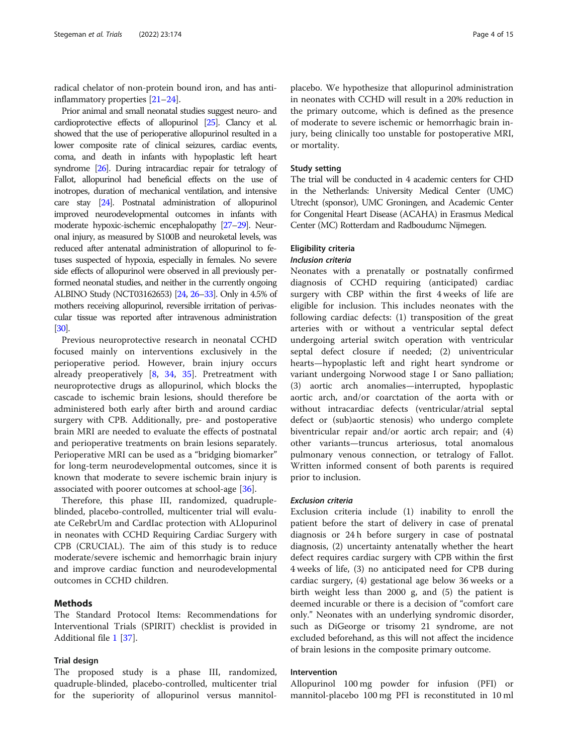radical chelator of non-protein bound iron, and has antiinflammatory properties [\[21](#page-13-0)–[24](#page-13-0)].

Prior animal and small neonatal studies suggest neuro- and cardioprotective effects of allopurinol [\[25\]](#page-13-0). Clancy et al. showed that the use of perioperative allopurinol resulted in a lower composite rate of clinical seizures, cardiac events, coma, and death in infants with hypoplastic left heart syndrome [\[26](#page-13-0)]. During intracardiac repair for tetralogy of Fallot, allopurinol had beneficial effects on the use of inotropes, duration of mechanical ventilation, and intensive care stay [\[24](#page-13-0)]. Postnatal administration of allopurinol improved neurodevelopmental outcomes in infants with moderate hypoxic-ischemic encephalopathy [\[27](#page-13-0)–[29\]](#page-14-0). Neuronal injury, as measured by S100B and neuroketal levels, was reduced after antenatal administration of allopurinol to fetuses suspected of hypoxia, especially in females. No severe side effects of allopurinol were observed in all previously performed neonatal studies, and neither in the currently ongoing ALBINO Study (NCT03162653) [\[24,](#page-13-0) [26](#page-13-0)–[33](#page-14-0)]. Only in 4.5% of mothers receiving allopurinol, reversible irritation of perivascular tissue was reported after intravenous administration [[30\]](#page-14-0).

Previous neuroprotective research in neonatal CCHD focused mainly on interventions exclusively in the perioperative period. However, brain injury occurs already preoperatively [\[8](#page-13-0), [34,](#page-14-0) [35\]](#page-14-0). Pretreatment with neuroprotective drugs as allopurinol, which blocks the cascade to ischemic brain lesions, should therefore be administered both early after birth and around cardiac surgery with CPB. Additionally, pre- and postoperative brain MRI are needed to evaluate the effects of postnatal and perioperative treatments on brain lesions separately. Perioperative MRI can be used as a "bridging biomarker" for long-term neurodevelopmental outcomes, since it is known that moderate to severe ischemic brain injury is associated with poorer outcomes at school-age [\[36](#page-14-0)].

Therefore, this phase III, randomized, quadrupleblinded, placebo-controlled, multicenter trial will evaluate CeRebrUm and CardIac protection with ALlopurinol in neonates with CCHD Requiring Cardiac Surgery with CPB (CRUCIAL). The aim of this study is to reduce moderate/severe ischemic and hemorrhagic brain injury and improve cardiac function and neurodevelopmental outcomes in CCHD children.

# Methods

The Standard Protocol Items: Recommendations for Interventional Trials (SPIRIT) checklist is provided in Additional file [1](#page-12-0) [\[37\]](#page-14-0).

# Trial design

The proposed study is a phase III, randomized, quadruple-blinded, placebo-controlled, multicenter trial for the superiority of allopurinol versus mannitol-

placebo. We hypothesize that allopurinol administration in neonates with CCHD will result in a 20% reduction in the primary outcome, which is defined as the presence of moderate to severe ischemic or hemorrhagic brain injury, being clinically too unstable for postoperative MRI, or mortality.

# Study setting

The trial will be conducted in 4 academic centers for CHD in the Netherlands: University Medical Center (UMC) Utrecht (sponsor), UMC Groningen, and Academic Center for Congenital Heart Disease (ACAHA) in Erasmus Medical Center (MC) Rotterdam and Radboudumc Nijmegen.

# Eligibility criteria

# Inclusion criteria

Neonates with a prenatally or postnatally confirmed diagnosis of CCHD requiring (anticipated) cardiac surgery with CBP within the first 4 weeks of life are eligible for inclusion. This includes neonates with the following cardiac defects: (1) transposition of the great arteries with or without a ventricular septal defect undergoing arterial switch operation with ventricular septal defect closure if needed; (2) univentricular hearts—hypoplastic left and right heart syndrome or variant undergoing Norwood stage I or Sano palliation; (3) aortic arch anomalies—interrupted, hypoplastic aortic arch, and/or coarctation of the aorta with or without intracardiac defects (ventricular/atrial septal defect or (sub)aortic stenosis) who undergo complete biventricular repair and/or aortic arch repair; and (4) other variants—truncus arteriosus, total anomalous pulmonary venous connection, or tetralogy of Fallot. Written informed consent of both parents is required prior to inclusion.

#### Exclusion criteria

Exclusion criteria include (1) inability to enroll the patient before the start of delivery in case of prenatal diagnosis or 24 h before surgery in case of postnatal diagnosis, (2) uncertainty antenatally whether the heart defect requires cardiac surgery with CPB within the first 4 weeks of life, (3) no anticipated need for CPB during cardiac surgery, (4) gestational age below 36 weeks or a birth weight less than 2000 g, and (5) the patient is deemed incurable or there is a decision of "comfort care only." Neonates with an underlying syndromic disorder, such as DiGeorge or trisomy 21 syndrome, are not excluded beforehand, as this will not affect the incidence of brain lesions in the composite primary outcome.

# Intervention

Allopurinol 100 mg powder for infusion (PFI) or mannitol-placebo 100 mg PFI is reconstituted in 10 ml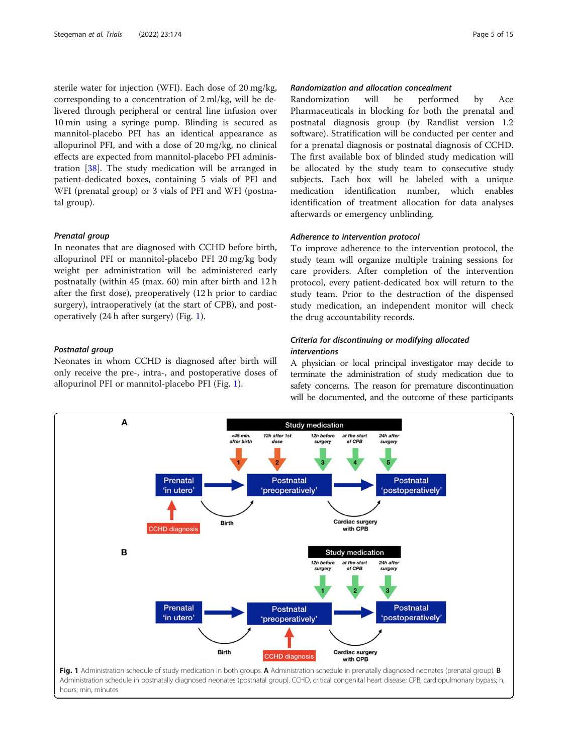sterile water for injection (WFI). Each dose of 20 mg/kg, corresponding to a concentration of 2 ml/kg, will be delivered through peripheral or central line infusion over 10 min using a syringe pump. Blinding is secured as mannitol-placebo PFI has an identical appearance as allopurinol PFI, and with a dose of 20 mg/kg, no clinical effects are expected from mannitol-placebo PFI administration [[38\]](#page-14-0). The study medication will be arranged in patient-dedicated boxes, containing 5 vials of PFI and WFI (prenatal group) or 3 vials of PFI and WFI (postnatal group).

#### Prenatal group

In neonates that are diagnosed with CCHD before birth, allopurinol PFI or mannitol-placebo PFI 20 mg/kg body weight per administration will be administered early postnatally (within 45 (max. 60) min after birth and 12 h after the first dose), preoperatively (12 h prior to cardiac surgery), intraoperatively (at the start of CPB), and postoperatively (24 h after surgery) (Fig. 1).

# Postnatal group

Neonates in whom CCHD is diagnosed after birth will only receive the pre-, intra-, and postoperative doses of allopurinol PFI or mannitol-placebo PFI (Fig. 1).

# Randomization and allocation concealment

Randomization will be performed by Ace Pharmaceuticals in blocking for both the prenatal and postnatal diagnosis group (by Randlist version 1.2 software). Stratification will be conducted per center and for a prenatal diagnosis or postnatal diagnosis of CCHD. The first available box of blinded study medication will be allocated by the study team to consecutive study subjects. Each box will be labeled with a unique medication identification number, which enables identification of treatment allocation for data analyses afterwards or emergency unblinding.

# Adherence to intervention protocol

To improve adherence to the intervention protocol, the study team will organize multiple training sessions for care providers. After completion of the intervention protocol, every patient-dedicated box will return to the study team. Prior to the destruction of the dispensed study medication, an independent monitor will check the drug accountability records.

# Criteria for discontinuing or modifying allocated interventions

A physician or local principal investigator may decide to terminate the administration of study medication due to safety concerns. The reason for premature discontinuation will be documented, and the outcome of these participants

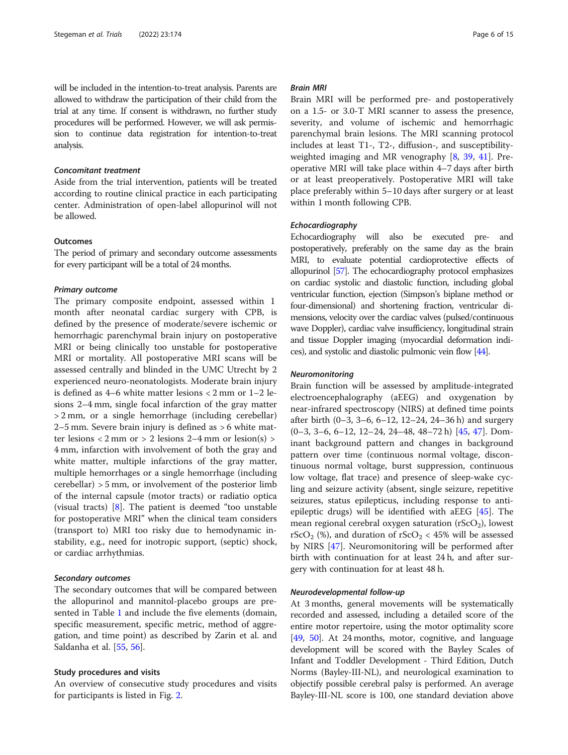will be included in the intention-to-treat analysis. Parents are allowed to withdraw the participation of their child from the trial at any time. If consent is withdrawn, no further study procedures will be performed. However, we will ask permission to continue data registration for intention-to-treat analysis.

### Concomitant treatment

Aside from the trial intervention, patients will be treated according to routine clinical practice in each participating center. Administration of open-label allopurinol will not be allowed.

# **Outcomes**

The period of primary and secondary outcome assessments for every participant will be a total of 24 months.

#### Primary outcome

The primary composite endpoint, assessed within 1 month after neonatal cardiac surgery with CPB, is defined by the presence of moderate/severe ischemic or hemorrhagic parenchymal brain injury on postoperative MRI or being clinically too unstable for postoperative MRI or mortality. All postoperative MRI scans will be assessed centrally and blinded in the UMC Utrecht by 2 experienced neuro-neonatologists. Moderate brain injury is defined as 4–6 white matter lesions < 2 mm or 1–2 lesions 2–4 mm, single focal infarction of the gray matter > 2 mm, or a single hemorrhage (including cerebellar) 2–5 mm. Severe brain injury is defined as > 6 white matter lesions < 2 mm or > 2 lesions 2–4 mm or lesion(s) > 4 mm, infarction with involvement of both the gray and white matter, multiple infarctions of the gray matter, multiple hemorrhages or a single hemorrhage (including cerebellar) > 5 mm, or involvement of the posterior limb of the internal capsule (motor tracts) or radiatio optica (visual tracts) [[8](#page-13-0)]. The patient is deemed "too unstable for postoperative MRI" when the clinical team considers (transport to) MRI too risky due to hemodynamic instability, e.g., need for inotropic support, (septic) shock, or cardiac arrhythmias.

#### Secondary outcomes

The secondary outcomes that will be compared between the allopurinol and mannitol-placebo groups are presented in Table [1](#page-6-0) and include the five elements (domain, specific measurement, specific metric, method of aggregation, and time point) as described by Zarin et al. and Saldanha et al. [\[55,](#page-14-0) [56\]](#page-14-0).

#### Study procedures and visits

An overview of consecutive study procedures and visits for participants is listed in Fig. [2](#page-8-0).

# Brain MRI

Brain MRI will be performed pre- and postoperatively on a 1.5- or 3.0-T MRI scanner to assess the presence, severity, and volume of ischemic and hemorrhagic parenchymal brain lesions. The MRI scanning protocol includes at least T1-, T2-, diffusion-, and susceptibilityweighted imaging and MR venography [[8,](#page-13-0) [39,](#page-14-0) [41\]](#page-14-0). Preoperative MRI will take place within 4–7 days after birth or at least preoperatively. Postoperative MRI will take place preferably within 5–10 days after surgery or at least within 1 month following CPB.

### Echocardiography

Echocardiography will also be executed pre- and postoperatively, preferably on the same day as the brain MRI, to evaluate potential cardioprotective effects of allopurinol [\[57](#page-14-0)]. The echocardiography protocol emphasizes on cardiac systolic and diastolic function, including global ventricular function, ejection (Simpson's biplane method or four-dimensional) and shortening fraction, ventricular dimensions, velocity over the cardiac valves (pulsed/continuous wave Doppler), cardiac valve insufficiency, longitudinal strain and tissue Doppler imaging (myocardial deformation indices), and systolic and diastolic pulmonic vein flow [\[44](#page-14-0)].

#### Neuromonitoring

Brain function will be assessed by amplitude-integrated electroencephalography (aEEG) and oxygenation by near-infrared spectroscopy (NIRS) at defined time points after birth (0–3, 3–6, 6–12, 12–24, 24–36 h) and surgery (0–3, 3–6, 6–12, 12–24, 24–48, 48–72 h) [[45,](#page-14-0) [47\]](#page-14-0). Dominant background pattern and changes in background pattern over time (continuous normal voltage, discontinuous normal voltage, burst suppression, continuous low voltage, flat trace) and presence of sleep-wake cycling and seizure activity (absent, single seizure, repetitive seizures, status epilepticus, including response to antiepileptic drugs) will be identified with aEEG [[45\]](#page-14-0). The mean regional cerebral oxygen saturation  $(rScO<sub>2</sub>)$ , lowest rScO<sub>2</sub> (%), and duration of rScO<sub>2</sub> < 45% will be assessed by NIRS [[47\]](#page-14-0). Neuromonitoring will be performed after birth with continuation for at least 24 h, and after surgery with continuation for at least 48 h.

#### Neurodevelopmental follow-up

At 3 months, general movements will be systematically recorded and assessed, including a detailed score of the entire motor repertoire, using the motor optimality score [[49](#page-14-0), [50](#page-14-0)]. At 24 months, motor, cognitive, and language development will be scored with the Bayley Scales of Infant and Toddler Development - Third Edition, Dutch Norms (Bayley-III-NL), and neurological examination to objectify possible cerebral palsy is performed. An average Bayley-III-NL score is 100, one standard deviation above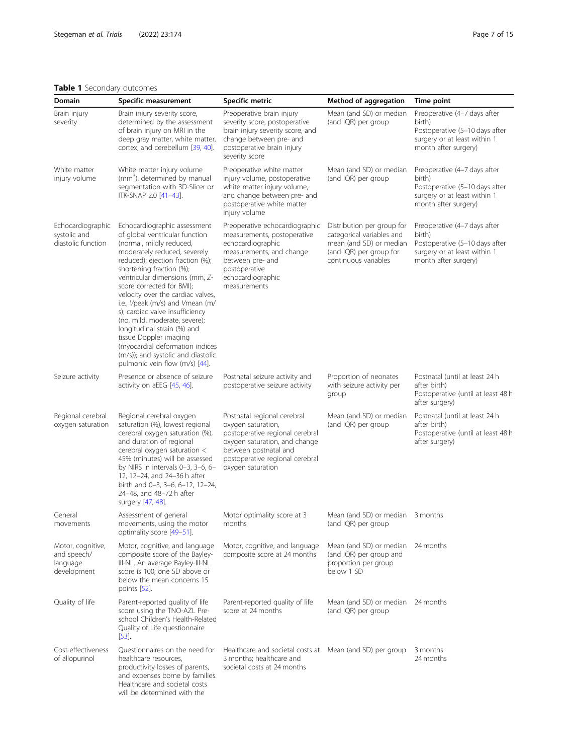# <span id="page-6-0"></span>Table 1 Secondary outcomes

| Domain<br><b>Specific measurement</b>                       |                                                                                                                                                                                                                                                                                                                                                                                                                                                                                                                                                                           | Specific metric                                                                                                                                                                                        | Method of aggregation                                                                                                                                       | Time point                                                                                                                       |  |  |
|-------------------------------------------------------------|---------------------------------------------------------------------------------------------------------------------------------------------------------------------------------------------------------------------------------------------------------------------------------------------------------------------------------------------------------------------------------------------------------------------------------------------------------------------------------------------------------------------------------------------------------------------------|--------------------------------------------------------------------------------------------------------------------------------------------------------------------------------------------------------|-------------------------------------------------------------------------------------------------------------------------------------------------------------|----------------------------------------------------------------------------------------------------------------------------------|--|--|
| Brain injury<br>severity                                    | Brain injury severity score,<br>determined by the assessment<br>of brain injury on MRI in the<br>deep gray matter, white matter,<br>cortex, and cerebellum [39, 40].                                                                                                                                                                                                                                                                                                                                                                                                      | Preoperative brain injury<br>severity score, postoperative<br>brain injury severity score, and<br>change between pre- and<br>postoperative brain injury<br>severity score                              | Mean (and SD) or median<br>(and IQR) per group                                                                                                              | Preoperative (4-7 days after<br>birth)<br>Postoperative (5-10 days after<br>surgery or at least within 1<br>month after surgery) |  |  |
| White matter<br>injury volume                               | White matter injury volume<br>(mm <sup>3</sup> ), determined by manual<br>segmentation with 3D-Slicer or<br>ITK-SNAP 2.0 [41-43].                                                                                                                                                                                                                                                                                                                                                                                                                                         | Preoperative white matter<br>injury volume, postoperative<br>white matter injury volume,<br>and change between pre- and<br>postoperative white matter<br>injury volume                                 | Mean (and SD) or median<br>(and IQR) per group                                                                                                              | Preoperative (4-7 days after<br>birth)<br>Postoperative (5-10 days after<br>surgery or at least within 1<br>month after surgery) |  |  |
| Echocardiographic<br>systolic and<br>diastolic function     | Echocardiographic assessment<br>of global ventricular function<br>(normal, mildly reduced,<br>moderately reduced, severely<br>reduced); ejection fraction (%);<br>shortening fraction (%);<br>ventricular dimensions (mm, Z-<br>score corrected for BMI);<br>velocity over the cardiac valves,<br>i.e., Vpeak (m/s) and Vmean (m/<br>s); cardiac valve insufficiency<br>(no, mild, moderate, severe);<br>longitudinal strain (%) and<br>tissue Doppler imaging<br>(myocardial deformation indices<br>(m/s)); and systolic and diastolic<br>pulmonic vein flow (m/s) [44]. | Preoperative echocardiographic<br>measurements, postoperative<br>echocardiographic<br>measurements, and change<br>between pre- and<br>postoperative<br>echocardiographic<br>measurements               | Distribution per group for<br>categorical variables and<br>mean (and SD) or median<br>(and IQR) per group for<br>continuous variables                       | Preoperative (4-7 days after<br>birth)<br>Postoperative (5-10 days after<br>surgery or at least within 1<br>month after surgery) |  |  |
| Seizure activity                                            | Presence or absence of seizure<br>activity on aEEG [45, 46].                                                                                                                                                                                                                                                                                                                                                                                                                                                                                                              | Postnatal seizure activity and<br>postoperative seizure activity                                                                                                                                       | Proportion of neonates<br>with seizure activity per<br>group                                                                                                | Postnatal (until at least 24 h<br>after birth)<br>Postoperative (until at least 48 h<br>after surgery)                           |  |  |
| Regional cerebral<br>oxygen saturation                      | Regional cerebral oxygen<br>saturation (%), lowest regional<br>cerebral oxygen saturation (%),<br>and duration of regional<br>cerebral oxygen saturation <<br>45% (minutes) will be assessed<br>by NIRS in intervals 0-3, 3-6, 6-<br>12, 12-24, and 24-36 h after<br>birth and 0-3, 3-6, 6-12, 12-24,<br>24-48, and 48-72 h after<br>surgery [47, 48].                                                                                                                                                                                                                    | Postnatal regional cerebral<br>oxygen saturation,<br>postoperative regional cerebral<br>oxygen saturation, and change<br>between postnatal and<br>postoperative regional cerebral<br>oxygen saturation | Mean (and SD) or median<br>(and IQR) per group                                                                                                              | Postnatal (until at least 24 h<br>after birth)<br>Postoperative (until at least 48 h<br>after surgery)                           |  |  |
| General<br>movements                                        | Assessment of general<br>movements, using the motor<br>optimality score [49-51].                                                                                                                                                                                                                                                                                                                                                                                                                                                                                          | Motor optimality score at 3<br>months                                                                                                                                                                  | Mean (and SD) or median 3 months<br>(and IQR) per group                                                                                                     |                                                                                                                                  |  |  |
| Motor, cognitive,<br>and speech/<br>language<br>development | Motor, cognitive, and language<br>composite score of the Bayley-<br>III-NL. An average Bayley-III-NL<br>score is 100; one SD above or<br>below the mean concerns 15<br>points [52].                                                                                                                                                                                                                                                                                                                                                                                       | Motor, cognitive, and language<br>composite score at 24 months                                                                                                                                         | (and IQR) per group and<br>proportion per group<br>below 1 SD                                                                                               |                                                                                                                                  |  |  |
| Quality of life                                             | Parent-reported quality of life<br>score using the TNO-AZL Pre-<br>school Children's Health-Related<br>Quality of Life questionnaire<br>$[53]$ .                                                                                                                                                                                                                                                                                                                                                                                                                          | Parent-reported quality of life<br>score at 24 months<br>(and IQR) per group                                                                                                                           |                                                                                                                                                             |                                                                                                                                  |  |  |
| Cost-effectiveness<br>of allopurinol                        | Questionnaires on the need for<br>healthcare resources,<br>productivity losses of parents,<br>and expenses borne by families.<br>Healthcare and societal costs<br>will be determined with the                                                                                                                                                                                                                                                                                                                                                                             | 3 months; healthcare and<br>societal costs at 24 months                                                                                                                                                | Mean (and SD) or median 24 months<br>Mean (and SD) or median 24 months<br>Healthcare and societal costs at Mean (and SD) per group<br>3 months<br>24 months |                                                                                                                                  |  |  |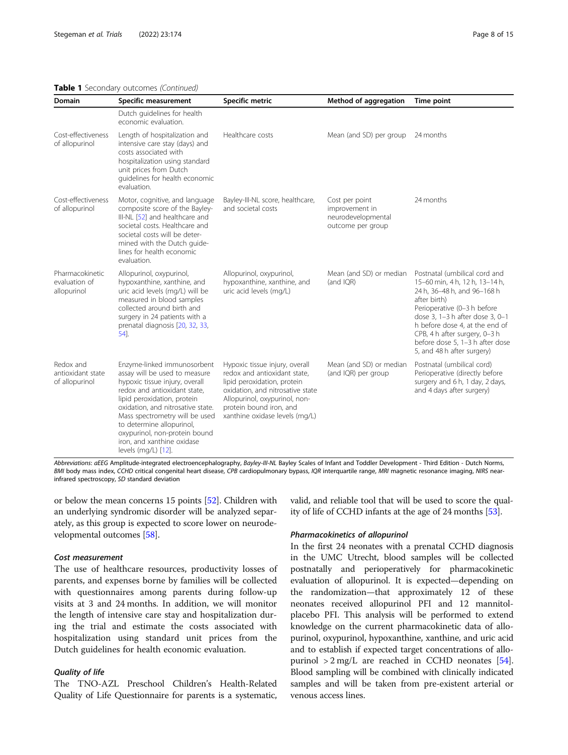# Table 1 Secondary outcomes (Continued)

| Domain                                           | Specific measurement                                                                                                                                                                                                                                                                                                                                    | Specific metric                                                                                                                                                                                                                 | Method of aggregation                                                       | Time point                                                                                                                                                                                                                                                                                                           |
|--------------------------------------------------|---------------------------------------------------------------------------------------------------------------------------------------------------------------------------------------------------------------------------------------------------------------------------------------------------------------------------------------------------------|---------------------------------------------------------------------------------------------------------------------------------------------------------------------------------------------------------------------------------|-----------------------------------------------------------------------------|----------------------------------------------------------------------------------------------------------------------------------------------------------------------------------------------------------------------------------------------------------------------------------------------------------------------|
|                                                  | Dutch guidelines for health<br>economic evaluation.                                                                                                                                                                                                                                                                                                     |                                                                                                                                                                                                                                 |                                                                             |                                                                                                                                                                                                                                                                                                                      |
| Cost-effectiveness<br>of allopurinol             | Length of hospitalization and<br>intensive care stay (days) and<br>costs associated with<br>hospitalization using standard<br>unit prices from Dutch<br>quidelines for health economic<br>evaluation.                                                                                                                                                   | Healthcare costs                                                                                                                                                                                                                | Mean (and SD) per group                                                     | 24 months                                                                                                                                                                                                                                                                                                            |
| Cost-effectiveness<br>of allopurinol             | Motor, cognitive, and language<br>composite score of the Bayley-<br>III-NL [52] and healthcare and<br>societal costs. Healthcare and<br>societal costs will be deter-<br>mined with the Dutch guide-<br>lines for health economic<br>evaluation.                                                                                                        | Bayley-III-NL score, healthcare,<br>and societal costs                                                                                                                                                                          | Cost per point<br>improvement in<br>neurodevelopmental<br>outcome per group | 24 months                                                                                                                                                                                                                                                                                                            |
| Pharmacokinetic<br>evaluation of<br>allopurinol  | Allopurinol, oxypurinol,<br>hypoxanthine, xanthine, and<br>uric acid levels (mg/L) will be<br>measured in blood samples<br>collected around birth and<br>surgery in 24 patients with a<br>prenatal diagnosis [20, 32, 33,<br>54].                                                                                                                       | Allopurinol, oxypurinol,<br>hypoxanthine, xanthine, and<br>uric acid levels (mg/L)                                                                                                                                              | Mean (and SD) or median<br>(and IQR)                                        | Postnatal (umbilical cord and<br>15-60 min, 4 h, 12 h, 13-14 h,<br>24 h, 36-48 h, and 96-168 h<br>after birth)<br>Perioperative (0-3 h before<br>dose 3, 1-3 h after dose 3, 0-1<br>h before dose 4, at the end of<br>CPB, 4 h after surgery, 0-3 h<br>before dose 5, 1-3 h after dose<br>5, and 48 h after surgery) |
| Redox and<br>antioxidant state<br>of allopurinol | Enzyme-linked immunosorbent<br>assay will be used to measure<br>hypoxic tissue injury, overall<br>redox and antioxidant state,<br>lipid peroxidation, protein<br>oxidation, and nitrosative state.<br>Mass spectrometry will be used<br>to determine allopurinol,<br>oxypurinol, non-protein bound<br>iron, and xanthine oxidase<br>levels (mg/L) [12]. | Hypoxic tissue injury, overall<br>redox and antioxidant state.<br>lipid peroxidation, protein<br>oxidation, and nitrosative state<br>Allopurinol, oxypurinol, non-<br>protein bound iron, and<br>xanthine oxidase levels (mg/L) | Mean (and SD) or median<br>(and IQR) per group                              | Postnatal (umbilical cord)<br>Perioperative (directly before<br>surgery and 6 h, 1 day, 2 days,<br>and 4 days after surgery)                                                                                                                                                                                         |

Abbreviations: aEEG Amplitude-integrated electroencephalography, Bayley-III-NL Bayley Scales of Infant and Toddler Development - Third Edition - Dutch Norms, BMI body mass index, CCHD critical congenital heart disease, CPB cardiopulmonary bypass, IQR interquartile range, MRI magnetic resonance imaging, NIRS nearinfrared spectroscopy, SD standard deviation

or below the mean concerns 15 points [\[52\]](#page-14-0). Children with an underlying syndromic disorder will be analyzed separately, as this group is expected to score lower on neurodevelopmental outcomes [[58](#page-14-0)].

# Cost measurement

The use of healthcare resources, productivity losses of parents, and expenses borne by families will be collected with questionnaires among parents during follow-up visits at 3 and 24 months. In addition, we will monitor the length of intensive care stay and hospitalization during the trial and estimate the costs associated with hospitalization using standard unit prices from the Dutch guidelines for health economic evaluation.

# Quality of life

The TNO-AZL Preschool Children's Health-Related Quality of Life Questionnaire for parents is a systematic, valid, and reliable tool that will be used to score the quality of life of CCHD infants at the age of 24 months [\[53\]](#page-14-0).

#### Pharmacokinetics of allopurinol

In the first 24 neonates with a prenatal CCHD diagnosis in the UMC Utrecht, blood samples will be collected postnatally and perioperatively for pharmacokinetic evaluation of allopurinol. It is expected—depending on the randomization—that approximately 12 of these neonates received allopurinol PFI and 12 mannitolplacebo PFI. This analysis will be performed to extend knowledge on the current pharmacokinetic data of allopurinol, oxypurinol, hypoxanthine, xanthine, and uric acid and to establish if expected target concentrations of allopurinol  $> 2 \text{ mg/L}$  are reached in CCHD neonates [[54](#page-14-0)]. Blood sampling will be combined with clinically indicated samples and will be taken from pre-existent arterial or venous access lines.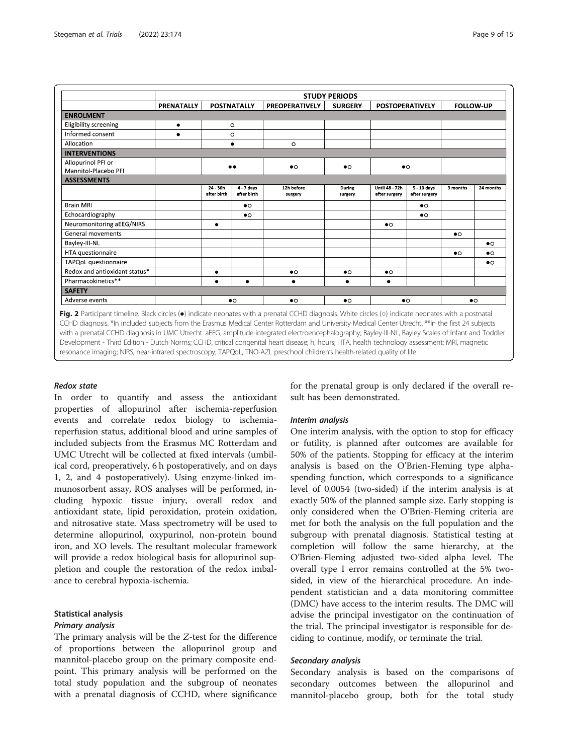<span id="page-8-0"></span>

|                               | <b>STUDY PERIODS</b> |                           |                             |                       |                   |                                        |                              |                  |           |
|-------------------------------|----------------------|---------------------------|-----------------------------|-----------------------|-------------------|----------------------------------------|------------------------------|------------------|-----------|
|                               | PRENATALLY           | <b>POSTNATALLY</b>        |                             | <b>PREOPERATIVELY</b> | <b>SURGERY</b>    | <b>POSTOPERATIVELY</b>                 |                              | <b>FOLLOW-UP</b> |           |
| <b>ENROLMENT</b>              |                      |                           |                             |                       |                   |                                        |                              |                  |           |
| <b>Eligibility screening</b>  | $\bullet$            |                           | $\circ$                     |                       |                   |                                        |                              |                  |           |
| Informed consent              | ٠                    |                           | $\circ$                     |                       |                   |                                        |                              |                  |           |
| Allocation                    |                      | ٠                         |                             | $\circ$               |                   |                                        |                              |                  |           |
| <b>INTERVENTIONS</b>          |                      |                           |                             |                       |                   |                                        |                              |                  |           |
| Allopurinol PFI or            |                      |                           |                             | $\bullet$             | $\bullet$         |                                        |                              |                  |           |
| Mannitol-Placebo PFI          |                      |                           |                             |                       |                   | $\bullet$                              |                              |                  |           |
| <b>ASSESSMENTS</b>            |                      |                           |                             |                       |                   |                                        |                              |                  |           |
|                               |                      | $24 - 36h$<br>after birth | $4 - 7$ days<br>after birth | 12h before<br>surgery | During<br>surgery | <b>Until 48 - 72h</b><br>after surgery | 5 - 10 days<br>after surgery | 3 months         | 24 months |
| <b>Brain MRI</b>              |                      |                           | $\bullet$                   |                       |                   |                                        | $\bullet$                    |                  |           |
| Echocardiography              |                      |                           | $\bullet$                   |                       |                   |                                        | $\bullet$                    |                  |           |
| Neuromonitoring aEEG/NIRS     |                      | ٠                         |                             |                       |                   | $\bullet$                              |                              |                  |           |
| General movements             |                      |                           |                             |                       |                   |                                        |                              | $\bullet$        |           |
| Bayley-III-NL                 |                      |                           |                             |                       |                   |                                        |                              |                  | $\bullet$ |
| HTA questionnaire             |                      |                           |                             |                       |                   |                                        |                              | $\bullet$        | $\bullet$ |
| TAPQoL questionnaire          |                      |                           |                             |                       |                   |                                        |                              |                  | $\bullet$ |
| Redox and antioxidant status* |                      | ٠                         |                             | $\bullet$             | $\bullet$         | $\bullet$                              |                              |                  |           |
| Pharmacokinetics**            |                      | $\bullet$                 | ٠                           | ٠                     | ٠                 | ٠                                      |                              |                  |           |
| <b>SAFETY</b>                 |                      |                           |                             |                       |                   |                                        |                              |                  |           |
| Adverse events                |                      |                           | $\bullet$                   | $\bullet$             | $\bullet$         | $\bullet$                              |                              | $\bullet$        |           |

Fig. 2 Participant timeline. Black circles (●) indicate neonates with a prenatal CCHD diagnosis. White circles (○) indicate neonates with a postnatal CCHD diagnosis. \*In included subjects from the Erasmus Medical Center Rotterdam and University Medical Center Utrecht. \*\*In the first 24 subjects with a prenatal CCHD diagnosis in UMC Utrecht. aEEG, amplitude-integrated electroencephalography; Bayley-III-NL, Bayley Scales of Infant and Toddler Development - Third Edition - Dutch Norms; CCHD, critical congenital heart disease; h, hours; HTA, health technology assessment; MRI, magnetic resonance imaging; NIRS, near-infrared spectroscopy; TAPQoL, TNO-AZL preschool children's health-related quality of life

# Redox state

In order to quantify and assess the antioxidant properties of allopurinol after ischemia-reperfusion events and correlate redox biology to ischemiareperfusion status, additional blood and urine samples of included subjects from the Erasmus MC Rotterdam and UMC Utrecht will be collected at fixed intervals (umbilical cord, preoperatively, 6 h postoperatively, and on days 1, 2, and 4 postoperatively). Using enzyme-linked immunosorbent assay, ROS analyses will be performed, including hypoxic tissue injury, overall redox and antioxidant state, lipid peroxidation, protein oxidation, and nitrosative state. Mass spectrometry will be used to determine allopurinol, oxypurinol, non-protein bound iron, and XO levels. The resultant molecular framework will provide a redox biological basis for allopurinol suppletion and couple the restoration of the redox imbalance to cerebral hypoxia-ischemia.

# Statistical analysis

# Primary analysis

The primary analysis will be the Z-test for the difference of proportions between the allopurinol group and mannitol-placebo group on the primary composite endpoint. This primary analysis will be performed on the total study population and the subgroup of neonates with a prenatal diagnosis of CCHD, where significance for the prenatal group is only declared if the overall result has been demonstrated.

#### Interim analysis

One interim analysis, with the option to stop for efficacy or futility, is planned after outcomes are available for 50% of the patients. Stopping for efficacy at the interim analysis is based on the O'Brien-Fleming type alphaspending function, which corresponds to a significance level of 0.0054 (two-sided) if the interim analysis is at exactly 50% of the planned sample size. Early stopping is only considered when the O'Brien-Fleming criteria are met for both the analysis on the full population and the subgroup with prenatal diagnosis. Statistical testing at completion will follow the same hierarchy, at the O'Brien-Fleming adjusted two-sided alpha level. The overall type I error remains controlled at the 5% twosided, in view of the hierarchical procedure. An independent statistician and a data monitoring committee (DMC) have access to the interim results. The DMC will advise the principal investigator on the continuation of the trial. The principal investigator is responsible for deciding to continue, modify, or terminate the trial.

# Secondary analysis

Secondary analysis is based on the comparisons of secondary outcomes between the allopurinol and mannitol-placebo group, both for the total study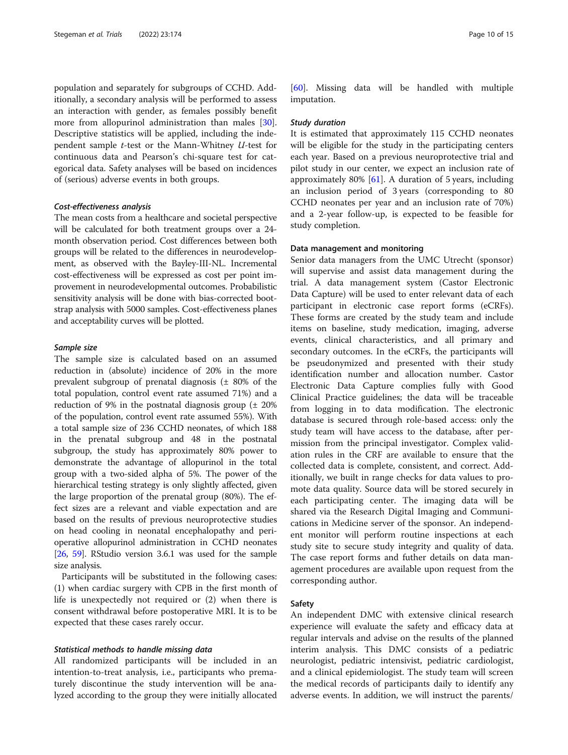population and separately for subgroups of CCHD. Additionally, a secondary analysis will be performed to assess an interaction with gender, as females possibly benefit more from allopurinol administration than males [\[30](#page-14-0)]. Descriptive statistics will be applied, including the independent sample t-test or the Mann-Whitney U-test for continuous data and Pearson's chi-square test for categorical data. Safety analyses will be based on incidences of (serious) adverse events in both groups.

#### Cost-effectiveness analysis

The mean costs from a healthcare and societal perspective will be calculated for both treatment groups over a 24 month observation period. Cost differences between both groups will be related to the differences in neurodevelopment, as observed with the Bayley-III-NL. Incremental cost-effectiveness will be expressed as cost per point improvement in neurodevelopmental outcomes. Probabilistic sensitivity analysis will be done with bias-corrected bootstrap analysis with 5000 samples. Cost-effectiveness planes and acceptability curves will be plotted.

# Sample size

The sample size is calculated based on an assumed reduction in (absolute) incidence of 20% in the more prevalent subgroup of prenatal diagnosis (± 80% of the total population, control event rate assumed 71%) and a reduction of 9% in the postnatal diagnosis group  $(\pm 20\%)$ of the population, control event rate assumed 55%). With a total sample size of 236 CCHD neonates, of which 188 in the prenatal subgroup and 48 in the postnatal subgroup, the study has approximately 80% power to demonstrate the advantage of allopurinol in the total group with a two-sided alpha of 5%. The power of the hierarchical testing strategy is only slightly affected, given the large proportion of the prenatal group (80%). The effect sizes are a relevant and viable expectation and are based on the results of previous neuroprotective studies on head cooling in neonatal encephalopathy and perioperative allopurinol administration in CCHD neonates [[26](#page-13-0), [59\]](#page-14-0). RStudio version 3.6.1 was used for the sample size analysis.

Participants will be substituted in the following cases: (1) when cardiac surgery with CPB in the first month of life is unexpectedly not required or (2) when there is consent withdrawal before postoperative MRI. It is to be expected that these cases rarely occur.

# Statistical methods to handle missing data

All randomized participants will be included in an intention-to-treat analysis, i.e., participants who prematurely discontinue the study intervention will be analyzed according to the group they were initially allocated

[[60\]](#page-14-0). Missing data will be handled with multiple imputation.

#### Study duration

It is estimated that approximately 115 CCHD neonates will be eligible for the study in the participating centers each year. Based on a previous neuroprotective trial and pilot study in our center, we expect an inclusion rate of approximately 80%  $[61]$  $[61]$ . A duration of 5 years, including an inclusion period of 3 years (corresponding to 80 CCHD neonates per year and an inclusion rate of 70%) and a 2-year follow-up, is expected to be feasible for study completion.

### Data management and monitoring

Senior data managers from the UMC Utrecht (sponsor) will supervise and assist data management during the trial. A data management system (Castor Electronic Data Capture) will be used to enter relevant data of each participant in electronic case report forms (eCRFs). These forms are created by the study team and include items on baseline, study medication, imaging, adverse events, clinical characteristics, and all primary and secondary outcomes. In the eCRFs, the participants will be pseudonymized and presented with their study identification number and allocation number. Castor Electronic Data Capture complies fully with Good Clinical Practice guidelines; the data will be traceable from logging in to data modification. The electronic database is secured through role-based access: only the study team will have access to the database, after permission from the principal investigator. Complex validation rules in the CRF are available to ensure that the collected data is complete, consistent, and correct. Additionally, we built in range checks for data values to promote data quality. Source data will be stored securely in each participating center. The imaging data will be shared via the Research Digital Imaging and Communications in Medicine server of the sponsor. An independent monitor will perform routine inspections at each study site to secure study integrity and quality of data. The case report forms and futher details on data management procedures are available upon request from the corresponding author.

#### Safety

An independent DMC with extensive clinical research experience will evaluate the safety and efficacy data at regular intervals and advise on the results of the planned interim analysis. This DMC consists of a pediatric neurologist, pediatric intensivist, pediatric cardiologist, and a clinical epidemiologist. The study team will screen the medical records of participants daily to identify any adverse events. In addition, we will instruct the parents/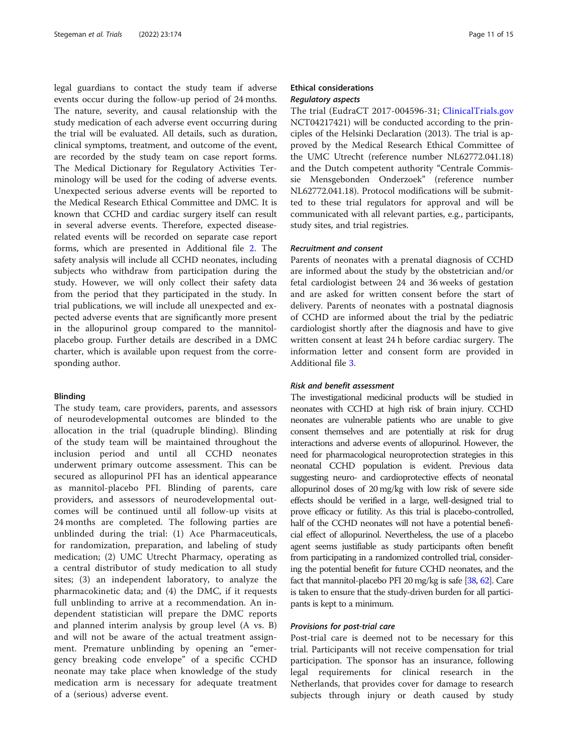legal guardians to contact the study team if adverse events occur during the follow-up period of 24 months. The nature, severity, and causal relationship with the study medication of each adverse event occurring during the trial will be evaluated. All details, such as duration, clinical symptoms, treatment, and outcome of the event, are recorded by the study team on case report forms. The Medical Dictionary for Regulatory Activities Terminology will be used for the coding of adverse events. Unexpected serious adverse events will be reported to the Medical Research Ethical Committee and DMC. It is known that CCHD and cardiac surgery itself can result in several adverse events. Therefore, expected diseaserelated events will be recorded on separate case report forms, which are presented in Additional file [2.](#page-12-0) The safety analysis will include all CCHD neonates, including subjects who withdraw from participation during the study. However, we will only collect their safety data from the period that they participated in the study. In trial publications, we will include all unexpected and expected adverse events that are significantly more present in the allopurinol group compared to the mannitolplacebo group. Further details are described in a DMC charter, which is available upon request from the corresponding author.

#### Blinding

The study team, care providers, parents, and assessors of neurodevelopmental outcomes are blinded to the allocation in the trial (quadruple blinding). Blinding of the study team will be maintained throughout the inclusion period and until all CCHD neonates underwent primary outcome assessment. This can be secured as allopurinol PFI has an identical appearance as mannitol-placebo PFI. Blinding of parents, care providers, and assessors of neurodevelopmental outcomes will be continued until all follow-up visits at 24 months are completed. The following parties are unblinded during the trial: (1) Ace Pharmaceuticals, for randomization, preparation, and labeling of study medication; (2) UMC Utrecht Pharmacy, operating as a central distributor of study medication to all study sites; (3) an independent laboratory, to analyze the pharmacokinetic data; and (4) the DMC, if it requests full unblinding to arrive at a recommendation. An independent statistician will prepare the DMC reports and planned interim analysis by group level (A vs. B) and will not be aware of the actual treatment assignment. Premature unblinding by opening an "emergency breaking code envelope" of a specific CCHD neonate may take place when knowledge of the study medication arm is necessary for adequate treatment of a (serious) adverse event.

# Ethical considerations Regulatory aspects

The trial (EudraCT 2017-004596-31; [ClinicalTrials.gov](http://clinicaltrials.gov) NCT04217421) will be conducted according to the principles of the Helsinki Declaration (2013). The trial is approved by the Medical Research Ethical Committee of the UMC Utrecht (reference number NL62772.041.18) and the Dutch competent authority "Centrale Commissie Mensgebonden Onderzoek" (reference number NL62772.041.18). Protocol modifications will be submitted to these trial regulators for approval and will be communicated with all relevant parties, e.g., participants, study sites, and trial registries.

#### Recruitment and consent

Parents of neonates with a prenatal diagnosis of CCHD are informed about the study by the obstetrician and/or fetal cardiologist between 24 and 36 weeks of gestation and are asked for written consent before the start of delivery. Parents of neonates with a postnatal diagnosis of CCHD are informed about the trial by the pediatric cardiologist shortly after the diagnosis and have to give written consent at least 24 h before cardiac surgery. The information letter and consent form are provided in Additional file [3](#page-12-0).

# Risk and benefit assessment

The investigational medicinal products will be studied in neonates with CCHD at high risk of brain injury. CCHD neonates are vulnerable patients who are unable to give consent themselves and are potentially at risk for drug interactions and adverse events of allopurinol. However, the need for pharmacological neuroprotection strategies in this neonatal CCHD population is evident. Previous data suggesting neuro- and cardioprotective effects of neonatal allopurinol doses of 20 mg/kg with low risk of severe side effects should be verified in a large, well-designed trial to prove efficacy or futility. As this trial is placebo-controlled, half of the CCHD neonates will not have a potential beneficial effect of allopurinol. Nevertheless, the use of a placebo agent seems justifiable as study participants often benefit from participating in a randomized controlled trial, considering the potential benefit for future CCHD neonates, and the fact that mannitol-placebo PFI 20 mg/kg is safe [\[38](#page-14-0), [62](#page-14-0)]. Care is taken to ensure that the study-driven burden for all participants is kept to a minimum.

#### Provisions for post-trial care

Post-trial care is deemed not to be necessary for this trial. Participants will not receive compensation for trial participation. The sponsor has an insurance, following legal requirements for clinical research in the Netherlands, that provides cover for damage to research subjects through injury or death caused by study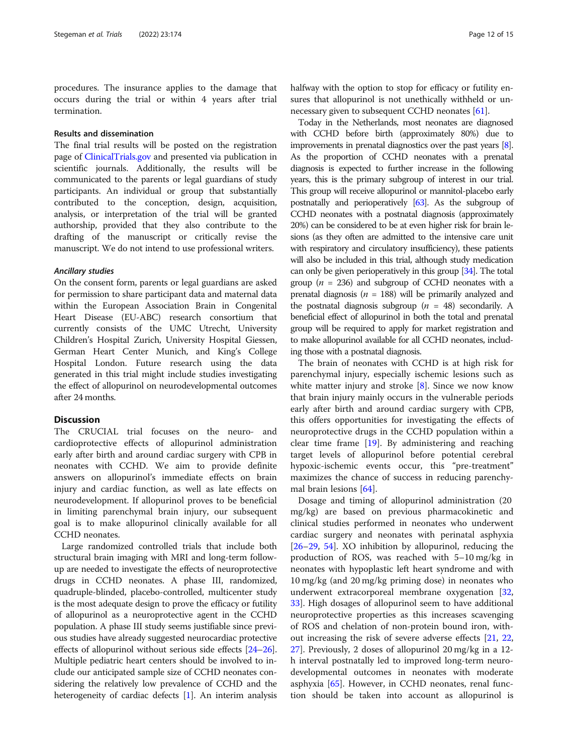procedures. The insurance applies to the damage that occurs during the trial or within 4 years after trial termination.

# Results and dissemination

The final trial results will be posted on the registration page of [ClinicalTrials.gov](http://clinicaltrials.gov) and presented via publication in scientific journals. Additionally, the results will be communicated to the parents or legal guardians of study participants. An individual or group that substantially contributed to the conception, design, acquisition, analysis, or interpretation of the trial will be granted authorship, provided that they also contribute to the drafting of the manuscript or critically revise the manuscript. We do not intend to use professional writers.

## Ancillary studies

On the consent form, parents or legal guardians are asked for permission to share participant data and maternal data within the European Association Brain in Congenital Heart Disease (EU-ABC) research consortium that currently consists of the UMC Utrecht, University Children's Hospital Zurich, University Hospital Giessen, German Heart Center Munich, and King's College Hospital London. Future research using the data generated in this trial might include studies investigating the effect of allopurinol on neurodevelopmental outcomes after 24 months.

#### **Discussion**

The CRUCIAL trial focuses on the neuro- and cardioprotective effects of allopurinol administration early after birth and around cardiac surgery with CPB in neonates with CCHD. We aim to provide definite answers on allopurinol's immediate effects on brain injury and cardiac function, as well as late effects on neurodevelopment. If allopurinol proves to be beneficial in limiting parenchymal brain injury, our subsequent goal is to make allopurinol clinically available for all CCHD neonates.

Large randomized controlled trials that include both structural brain imaging with MRI and long-term followup are needed to investigate the effects of neuroprotective drugs in CCHD neonates. A phase III, randomized, quadruple-blinded, placebo-controlled, multicenter study is the most adequate design to prove the efficacy or futility of allopurinol as a neuroprotective agent in the CCHD population. A phase III study seems justifiable since previous studies have already suggested neurocardiac protective effects of allopurinol without serious side effects [\[24](#page-13-0)–[26](#page-13-0)]. Multiple pediatric heart centers should be involved to include our anticipated sample size of CCHD neonates considering the relatively low prevalence of CCHD and the heterogeneity of cardiac defects [\[1](#page-13-0)]. An interim analysis halfway with the option to stop for efficacy or futility ensures that allopurinol is not unethically withheld or unnecessary given to subsequent CCHD neonates [[61](#page-14-0)].

Today in the Netherlands, most neonates are diagnosed with CCHD before birth (approximately 80%) due to improvements in prenatal diagnostics over the past years [\[8\]](#page-13-0). As the proportion of CCHD neonates with a prenatal diagnosis is expected to further increase in the following years, this is the primary subgroup of interest in our trial. This group will receive allopurinol or mannitol-placebo early postnatally and perioperatively [\[63\]](#page-14-0). As the subgroup of CCHD neonates with a postnatal diagnosis (approximately 20%) can be considered to be at even higher risk for brain lesions (as they often are admitted to the intensive care unit with respiratory and circulatory insufficiency), these patients will also be included in this trial, although study medication can only be given perioperatively in this group [[34\]](#page-14-0). The total group ( $n = 236$ ) and subgroup of CCHD neonates with a prenatal diagnosis ( $n = 188$ ) will be primarily analyzed and the postnatal diagnosis subgroup ( $n = 48$ ) secondarily. A beneficial effect of allopurinol in both the total and prenatal group will be required to apply for market registration and to make allopurinol available for all CCHD neonates, including those with a postnatal diagnosis.

The brain of neonates with CCHD is at high risk for parenchymal injury, especially ischemic lesions such as white matter injury and stroke  $[8]$  $[8]$ . Since we now know that brain injury mainly occurs in the vulnerable periods early after birth and around cardiac surgery with CPB, this offers opportunities for investigating the effects of neuroprotective drugs in the CCHD population within a clear time frame [[19](#page-13-0)]. By administering and reaching target levels of allopurinol before potential cerebral hypoxic-ischemic events occur, this "pre-treatment" maximizes the chance of success in reducing parenchymal brain lesions [[64](#page-14-0)].

Dosage and timing of allopurinol administration (20 mg/kg) are based on previous pharmacokinetic and clinical studies performed in neonates who underwent cardiac surgery and neonates with perinatal asphyxia [[26](#page-13-0)–[29](#page-14-0), [54\]](#page-14-0). XO inhibition by allopurinol, reducing the production of ROS, was reached with 5–10 mg/kg in neonates with hypoplastic left heart syndrome and with 10 mg/kg (and 20 mg/kg priming dose) in neonates who underwent extracorporeal membrane oxygenation [[32](#page-14-0), [33\]](#page-14-0). High dosages of allopurinol seem to have additional neuroprotective properties as this increases scavenging of ROS and chelation of non-protein bound iron, without increasing the risk of severe adverse effects [[21,](#page-13-0) [22](#page-13-0), [27\]](#page-13-0). Previously, 2 doses of allopurinol 20 mg/kg in a 12 h interval postnatally led to improved long-term neurodevelopmental outcomes in neonates with moderate asphyxia [\[65](#page-14-0)]. However, in CCHD neonates, renal function should be taken into account as allopurinol is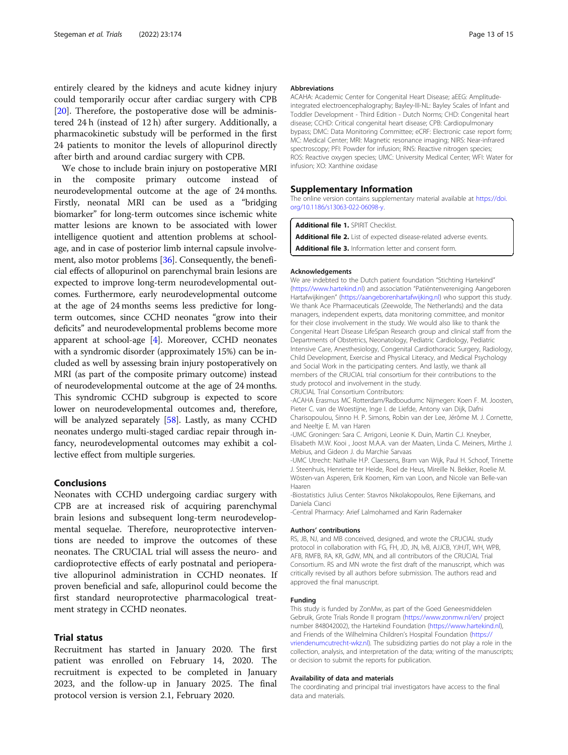<span id="page-12-0"></span>entirely cleared by the kidneys and acute kidney injury could temporarily occur after cardiac surgery with CPB [[20\]](#page-13-0). Therefore, the postoperative dose will be administered 24 h (instead of 12 h) after surgery. Additionally, a pharmacokinetic substudy will be performed in the first 24 patients to monitor the levels of allopurinol directly after birth and around cardiac surgery with CPB.

We chose to include brain injury on postoperative MRI in the composite primary outcome instead of neurodevelopmental outcome at the age of 24 months. Firstly, neonatal MRI can be used as a "bridging biomarker" for long-term outcomes since ischemic white matter lesions are known to be associated with lower intelligence quotient and attention problems at schoolage, and in case of posterior limb internal capsule involvement, also motor problems [[36](#page-14-0)]. Consequently, the beneficial effects of allopurinol on parenchymal brain lesions are expected to improve long-term neurodevelopmental outcomes. Furthermore, early neurodevelopmental outcome at the age of 24 months seems less predictive for longterm outcomes, since CCHD neonates "grow into their deficits" and neurodevelopmental problems become more apparent at school-age [\[4](#page-13-0)]. Moreover, CCHD neonates with a syndromic disorder (approximately 15%) can be included as well by assessing brain injury postoperatively on MRI (as part of the composite primary outcome) instead of neurodevelopmental outcome at the age of 24 months. This syndromic CCHD subgroup is expected to score lower on neurodevelopmental outcomes and, therefore, will be analyzed separately [[58\]](#page-14-0). Lastly, as many CCHD neonates undergo multi-staged cardiac repair through infancy, neurodevelopmental outcomes may exhibit a collective effect from multiple surgeries.

#### Conclusions

Neonates with CCHD undergoing cardiac surgery with CPB are at increased risk of acquiring parenchymal brain lesions and subsequent long-term neurodevelopmental sequelae. Therefore, neuroprotective interventions are needed to improve the outcomes of these neonates. The CRUCIAL trial will assess the neuro- and cardioprotective effects of early postnatal and perioperative allopurinol administration in CCHD neonates. If proven beneficial and safe, allopurinol could become the first standard neuroprotective pharmacological treatment strategy in CCHD neonates.

# Trial status

Recruitment has started in January 2020. The first patient was enrolled on February 14, 2020. The recruitment is expected to be completed in January 2023, and the follow-up in January 2025. The final protocol version is version 2.1, February 2020.

#### Abbreviations

ACAHA: Academic Center for Congenital Heart Disease; aEEG: Amplitudeintegrated electroencephalography; Bayley-III-NL: Bayley Scales of Infant and Toddler Development - Third Edition - Dutch Norms; CHD: Congenital heart disease; CCHD: Critical congenital heart disease; CPB: Cardiopulmonary bypass; DMC: Data Monitoring Committee; eCRF: Electronic case report form; MC: Medical Center; MRI: Magnetic resonance imaging; NIRS: Near-infrared spectroscopy; PFI: Powder for infusion; RNS: Reactive nitrogen species; ROS: Reactive oxygen species; UMC: University Medical Center; WFI: Water for infusion; XO: Xanthine oxidase

#### Supplementary Information

The online version contains supplementary material available at [https://doi.](https://doi.org/10.1186/s13063-022-06098-y) [org/10.1186/s13063-022-06098-y](https://doi.org/10.1186/s13063-022-06098-y).

Additional file 1. SPIRIT Checklist.

Additional file 2. List of expected disease-related adverse events.

Additional file 3. Information letter and consent form.

#### Acknowledgements

We are indebted to the Dutch patient foundation "Stichting Hartekind" ([https://www.hartekind.nl\)](https://www.hartekind.nl) and association "Patiëntenvereniging Aangeboren Hartafwijkingen" ([https://aangeborenhartafwijking.nl\)](https://aangeborenhartafwijking.nl) who support this study. We thank Ace Pharmaceuticals (Zeewolde, The Netherlands) and the data managers, independent experts, data monitoring committee, and monitor for their close involvement in the study. We would also like to thank the Congenital Heart Disease LifeSpan Research group and clinical staff from the Departments of Obstetrics, Neonatology, Pediatric Cardiology, Pediatric Intensive Care, Anesthesiology, Congenital Cardiothoracic Surgery, Radiology, Child Development, Exercise and Physical Literacy, and Medical Psychology and Social Work in the participating centers. And lastly, we thank all members of the CRUCIAL trial consortium for their contributions to the study protocol and involvement in the study. CRUCIAL Trial Consortium Contributors:

-ACAHA Erasmus MC Rotterdam/Radboudumc Nijmegen: Koen F. M. Joosten, Pieter C. van de Woestijne, Inge I. de Liefde, Antony van Dijk, Dafni Charisopoulou, Sinno H. P. Simons, Robin van der Lee, Jérôme M. J. Cornette, and Neeltje E. M. van Haren

-UMC Groningen: Sara C. Arrigoni, Leonie K. Duin, Martin C.J. Kneyber, Elisabeth M.W. Kooi , Joost M.A.A. van der Maaten, Linda C. Meiners, Mirthe J. Mebius, and Gideon J. du Marchie Sarvaas

-UMC Utrecht: Nathalie H.P. Claessens, Bram van Wijk, Paul H. Schoof, Trinette J. Steenhuis, Henriette ter Heide, Roel de Heus, Mireille N. Bekker, Roelie M. Wösten-van Asperen, Erik Koomen, Kim van Loon, and Nicole van Belle-van Haaren

-Biostatistics Julius Center: Stavros Nikolakopoulos, Rene Eijkemans, and Daniela Cianci

-Central Pharmacy: Arief Lalmohamed and Karin Rademaker

#### Authors' contributions

RS, JB, NJ, and MB conceived, designed, and wrote the CRUCIAL study protocol in collaboration with FG, FH, JD, JN, IvB, AJJCB, YJHJT, WH, WPB, AFB, RMFB, RA, KR, GdW, MN, and all contributors of the CRUCIAL Trial Consortium. RS and MN wrote the first draft of the manuscript, which was critically revised by all authors before submission. The authors read and approved the final manuscript.

#### Funding

This study is funded by ZonMw, as part of the Goed Geneesmiddelen Gebruik, Grote Trials Ronde II program (<https://www.zonmw.nl/en/> project number 848042002), the Hartekind Foundation ([https://www.hartekind.nl\)](https://www.hartekind.nl), and Friends of the Wilhelmina Children's Hospital Foundation ([https://](https://vriendenumcutrecht-wkz.nl) [vriendenumcutrecht-wkz.nl](https://vriendenumcutrecht-wkz.nl)). The subsidizing parties do not play a role in the collection, analysis, and interpretation of the data; writing of the manuscripts; or decision to submit the reports for publication.

#### Availability of data and materials

The coordinating and principal trial investigators have access to the final data and materials.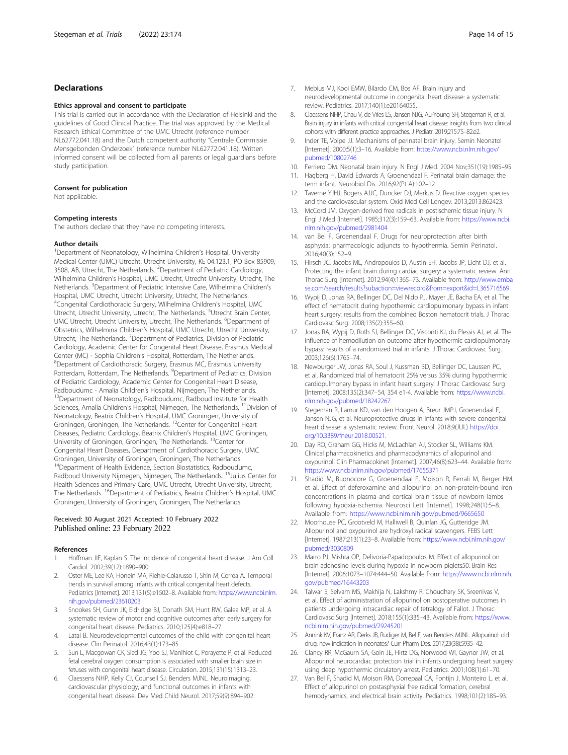# <span id="page-13-0"></span>Declarations

#### Ethics approval and consent to participate

This trial is carried out in accordance with the Declaration of Helsinki and the guidelines of Good Clinical Practice. The trial was approved by the Medical Research Ethical Committee of the UMC Utrecht (reference number NL62772.041.18) and the Dutch competent authority "Centrale Commissie Mensgebonden Onderzoek" (reference number NL62772.041.18). Written informed consent will be collected from all parents or legal guardians before study participation.

#### Consent for publication

Not applicable.

#### Competing interests

The authors declare that they have no competing interests.

#### Author details

<sup>1</sup>Department of Neonatology, Wilhelmina Children's Hospital, University Medical Center (UMC) Utrecht, Utrecht University, KE 04.123.1, PO Box 85909, 3508, AB, Utrecht, The Netherlands. <sup>2</sup>Department of Pediatric Cardiology, Wilhelmina Children's Hospital, UMC Utrecht, Utrecht University, Utrecht, The Netherlands. <sup>3</sup>Department of Pediatric Intensive Care, Wilhelmina Children's Hospital, UMC Utrecht, Utrecht University, Utrecht, The Netherlands. 4 Congenital Cardiothoracic Surgery, Wilhelmina Children's Hospital, UMC Utrecht, Utrecht University, Utrecht, The Netherlands. <sup>5</sup>Utrecht Brain Center, UMC Utrecht, Utrecht University, Utrecht, The Netherlands. <sup>6</sup>Department of Obstetrics, Wilhelmina Children's Hospital, UMC Utrecht, Utrecht University, Utrecht, The Netherlands. <sup>7</sup> Department of Pediatrics, Division of Pediatric Cardiology, Academic Center for Congenital Heart Disease, Erasmus Medical Center (MC) - Sophia Children's Hospital, Rotterdam, The Netherlands. <sup>8</sup>Department of Cardiothoracic Surgery, Erasmus MC, Erasmus University Rotterdam, Rotterdam, The Netherlands. <sup>9</sup>Department of Pediatrics, Division of Pediatric Cardiology, Academic Center for Congenital Heart Disease, <sup>10</sup>Department of Neonatology, Radboudumc, Radboud Institute for Health Sciences, Amalia Children's Hospital, Nijmegen, The Netherlands. <sup>11</sup>Division of Neonatology, Beatrix Children's Hospital, UMC Groningen, University of Groningen, Groningen, The Netherlands. 12Center for Congenital Heart Diseases, Pediatric Cardiology, Beatrix Children's Hospital, UMC Groningen, University of Groningen, Groningen, The Netherlands. <sup>13</sup>Center for Congenital Heart Diseases, Department of Cardiothoracic Surgery, UMC Groningen, University of Groningen, Groningen, The Netherlands. <sup>14</sup>Department of Health Evidence, Section Biostatistics, Radboudumc, Radboud University Nijmegen, Nijmegen, The Netherlands. <sup>15</sup>Julius Center for Health Sciences and Primary Care, UMC Utrecht, Utrecht University, Utrecht, The Netherlands. <sup>16</sup>Department of Pediatrics, Beatrix Children's Hospital, UMC Groningen, University of Groningen, Groningen, The Netherlands.

# Received: 30 August 2021 Accepted: 10 February 2022 Published online: 23 February 2022

#### References

- 1. Hoffman JIE, Kaplan S. The incidence of congenital heart disease. J Am Coll Cardiol. 2002;39(12):1890–900.
- 2. Oster ME, Lee KA, Honein MA, Riehle-Colarusso T, Shin M, Correa A. Temporal trends in survival among infants with critical congenital heart defects. Pediatrics [Internet]. 2013;131(5):e1502–8. Available from: [https://www.ncbi.nlm.](https://www.ncbi.nlm.nih.gov/pubmed/23610203) [nih.gov/pubmed/23610203](https://www.ncbi.nlm.nih.gov/pubmed/23610203)
- 3. Snookes SH, Gunn JK, Eldridge BJ, Donath SM, Hunt RW, Galea MP, et al. A systematic review of motor and cognitive outcomes after early surgery for congenital heart disease. Pediatrics. 2010;125(4):e818–27.
- 4. Latal B. Neurodevelopmental outcomes of the child with congenital heart disease. Clin Perinatol. 2016;43(1):173–85.
- 5. Sun L, Macgowan CK, Sled JG, Yoo SJ, Manlhiot C, Porayette P, et al. Reduced fetal cerebral oxygen consumption is associated with smaller brain size in fetuses with congenital heart disease. Circulation. 2015;131(15):1313–23.
- 6. Claessens NHP, Kelly CJ, Counsell SJ, Benders MJNL. Neuroimaging, cardiovascular physiology, and functional outcomes in infants with congenital heart disease. Dev Med Child Neurol. 2017;59(9):894–902.
- 7. Mebius MJ, Kooi EMW, Bilardo CM, Bos AF. Brain injury and neurodevelopmental outcome in congenital heart disease: a systematic review. Pediatrics. 2017;140(1):e20164055.
- Claessens NHP, Chau V, de Vries LS, Jansen NJG, Au-Young SH, Stegeman R, et al. Brain injury in infants with critical congenital heart disease: insights from two clinical cohorts with different practice approaches. J Pediatr. 2019;215:75–82.e2.
- Inder TE, Volpe JJ. Mechanisms of perinatal brain injury. Semin Neonatol [Internet]. 2000;5(1):3–16. Available from: [https://www.ncbi.nlm.nih.gov/](https://www.ncbi.nlm.nih.gov/pubmed/10802746) [pubmed/10802746](https://www.ncbi.nlm.nih.gov/pubmed/10802746)
- 10. Ferriero DM. Neonatal brain injury. N Engl J Med. 2004 Nov;351(19):1985–95.
- 11. Hagberg H, David Edwards A, Groenendaal F. Perinatal brain damage: the term infant. Neurobiol Dis. 2016;92(Pt A):102–12.
- 12. Taverne YJHJ, Bogers AJJC, Duncker DJ, Merkus D. Reactive oxygen species and the cardiovascular system. Oxid Med Cell Longev. 2013;2013:862423.
- 13. McCord JM. Oxygen-derived free radicals in postischemic tissue injury. N Engl J Med [Internet]. 1985;312(3):159–63. Available from: [https://www.ncbi.](https://www.ncbi.nlm.nih.gov/pubmed/2981404) [nlm.nih.gov/pubmed/2981404](https://www.ncbi.nlm.nih.gov/pubmed/2981404)
- 14. van Bel F, Groenendaal F. Drugs for neuroprotection after birth asphyxia: pharmacologic adjuncts to hypothermia. Semin Perinatol. 2016;40(3):152–9.
- 15. Hirsch JC, Jacobs ML, Andropoulos D, Austin EH, Jacobs JP, Licht DJ, et al. Protecting the infant brain during cardiac surgery: a systematic review. Ann Thorac Surg [Internet]. 2012;94(4):1365–73. Available from: [http://www.emba](http://www.embase.com/search/results?subaction=viewrecord&from=export&id=L365716569) [se.com/search/results?subaction=viewrecord&from=export&id=L365716569](http://www.embase.com/search/results?subaction=viewrecord&from=export&id=L365716569)
- 16. Wypij D, Jonas RA, Bellinger DC, Del Nido PJ, Mayer JE, Bacha EA, et al. The effect of hematocrit during hypothermic cardiopulmonary bypass in infant heart surgery: results from the combined Boston hematocrit trials. J Thorac Cardiovasc Surg. 2008;135(2):355–60.
- 17. Jonas RA, Wypij D, Roth SJ, Bellinger DC, Visconti KJ, du Plessis AJ, et al. The influence of hemodilution on outcome after hypothermic cardiopulmonary bypass: results of a randomized trial in infants. J Thorac Cardiovasc Surg. 2003;126(6):1765–74.
- 18. Newburger JW, Jonas RA, Soul J, Kussman BD, Bellinger DC, Laussen PC, et al. Randomized trial of hematocrit 25% versus 35% during hypothermic cardiopulmonary bypass in infant heart surgery. J Thorac Cardiovasc Surg [Internet]. 2008;135(2):347–54, 354 e1-4. Available from: [https://www.ncbi.](https://www.ncbi.nlm.nih.gov/pubmed/18242267) [nlm.nih.gov/pubmed/18242267](https://www.ncbi.nlm.nih.gov/pubmed/18242267)
- 19. Stegeman R, Lamur KD, van den Hoogen A, Breur JMPJ, Groenendaal F, Jansen NJG, et al. Neuroprotective drugs in infants with severe congenital heart disease: a systematic review. Front Neurol. 2018;9(JUL) [https://doi.](https://doi.org/10.3389/fneur.2018.00521) [org/10.3389/fneur.2018.00521.](https://doi.org/10.3389/fneur.2018.00521)
- 20. Day RO, Graham GG, Hicks M, McLachlan AJ, Stocker SL, Williams KM. Clinical pharmacokinetics and pharmacodynamics of allopurinol and oxypurinol. Clin Pharmacokinet [Internet]. 2007;46(8):623–44. Available from: <https://www.ncbi.nlm.nih.gov/pubmed/17655371>
- 21. Shadid M, Buonocore G, Groenendaal F, Moison R, Ferrali M, Berger HM, et al. Effect of deferoxamine and allopurinol on non-protein-bound iron concentrations in plasma and cortical brain tissue of newborn lambs following hypoxia-ischemia. Neurosci Lett [Internet]. 1998;248(1):5–8. Available from: <https://www.ncbi.nlm.nih.gov/pubmed/9665650>
- 22. Moorhouse PC, Grootveld M, Halliwell B, Quinlan JG, Gutteridge JM. Allopurinol and oxypurinol are hydroxyl radical scavengers. FEBS Lett [Internet]. 1987;213(1):23–8. Available from: [https://www.ncbi.nlm.nih.gov/](https://www.ncbi.nlm.nih.gov/pubmed/3030809) [pubmed/3030809](https://www.ncbi.nlm.nih.gov/pubmed/3030809)
- 23. Marro PJ, Mishra OP, Delivoria-Papadopoulos M. Effect of allopurinol on brain adenosine levels during hypoxia in newborn piglets50. Brain Res [Internet]. 2006;1073–1074:444–50. Available from: [https://www.ncbi.nlm.nih.](https://www.ncbi.nlm.nih.gov/pubmed/16443203) [gov/pubmed/16443203](https://www.ncbi.nlm.nih.gov/pubmed/16443203)
- 24. Talwar S, Selvam MS, Makhija N, Lakshmy R, Choudhary SK, Sreenivas V, et al. Effect of administration of allopurinol on postoperative outcomes in patients undergoing intracardiac repair of tetralogy of Fallot. J Thorac Cardiovasc Surg [Internet]. 2018;155(1):335–43. Available from: [https://www.](https://www.ncbi.nlm.nih.gov/pubmed/29245201) [ncbi.nlm.nih.gov/pubmed/29245201](https://www.ncbi.nlm.nih.gov/pubmed/29245201)
- 25. Annink KV, Franz AR, Derks JB, Rudiger M, Bel F, van Benders MJNL. Allopurinol: old drug, new indication in neonates? Curr Pharm Des. 2017;23(38):5935–42.
- 26. Clancy RR, McGaurn SA, Goin JE, Hirtz DG, Norwood WI, Gaynor JW, et al. Allopurinol neurocardiac protection trial in infants undergoing heart surgery using deep hypothermic circulatory arrest. Pediatrics. 2001;108(1):61–70.
- 27. Van Bel F, Shadid M, Moison RM, Dorrepaal CA, Fontijn J, Monteiro L, et al. Effect of allopurinol on postasphyxial free radical formation, cerebral hemodynamics, and electrical brain activity. Pediatrics. 1998;101(2):185–93.